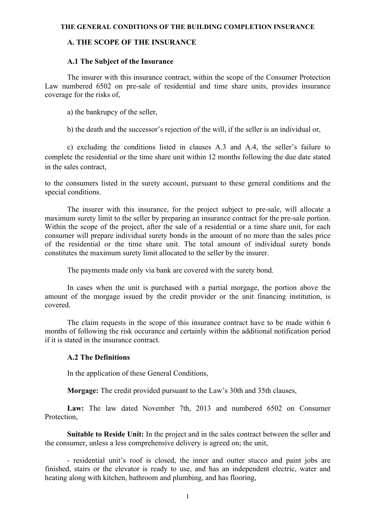#### **THE GENERAL CONDITIONS OF THE BUILDING COMPLETION INSURANCE**

## **A. THE SCOPE OF THE INSURANCE**

#### **A.1 The Subject of the Insurance**

The insurer with this insurance contract, within the scope of the Consumer Protection Law numbered 6502 on pre-sale of residential and time share units, provides insurance coverage for the risks of,

a) the bankrupcy of the seller,

b) the death and the successor's rejection of the will, if the seller is an individual or,

c) excluding the conditions listed in clauses A.3 and A.4, the seller's failure to complete the residential or the time share unit within 12 months following the due date stated in the sales contract,

to the consumers listed in the surety account, pursuant to these general conditions and the special conditions.

The insurer with this insurance, for the project subject to pre-sale, will allocate a maximum surety limit to the seller by preparing an insurance contract for the pre-sale portion. Within the scope of the project, after the sale of a residential or a time share unit, for each consumer will prepare individual surety bonds in the amount of no more than the sales price of the residential or the time share unit. The total amount of individual surety bonds constitutes the maximum surety limit allocated to the seller by the insurer.

The payments made only via bank are covered with the surety bond.

In cases when the unit is purchased with a partial morgage, the portion above the amount of the morgage issued by the credit provider or the unit financing institution, is covered.

The claim requests in the scope of this insurance contract have to be made within 6 months of following the risk occurance and certainly within the additional notification period if it is stated in the insurance contract.

### **A.2 The Definitions**

In the application of these General Conditions,

**Morgage:** The credit provided pursuant to the Law's 30th and 35th clauses,

**Law:** The law dated November 7th, 2013 and numbered 6502 on Consumer Protection,

**Suitable to Reside Unit:** In the project and in the sales contract between the seller and the consumer, unless a less comprehensive delivery is agreed on; the unit,

- residential unit's roof is closed, the inner and outter stucco and paint jobs are finished, stairs or the elevator is ready to use, and has an independent electric, water and heating along with kitchen, bathroom and plumbing, and has flooring,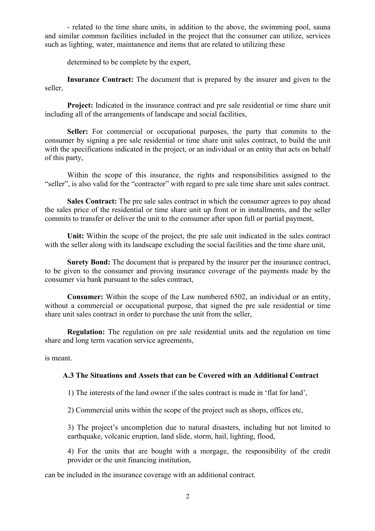- related to the time share units, in addition to the above, the swimming pool, sauna and similar common facilities included in the project that the consumer can utilize, services such as lighting, water, maintanence and items that are related to utilizing these

determined to be complete by the expert,

**Insurance Contract:** The document that is prepared by the insurer and given to the seller,

**Project:** Indicated in the insurance contract and pre sale residential or time share unit including all of the arrangements of landscape and social facilities,

**Seller:** For commercial or occupational purposes, the party that commits to the consumer by signing a pre sale residential or time share unit sales contract, to build the unit with the specifications indicated in the project, or an individual or an entity that acts on behalf of this party,

Within the scope of this insurance, the rights and responsibilities assigned to the "seller", is also valid for the "contractor" with regard to pre sale time share unit sales contract.

**Sales Contract:** The pre sale sales contract in which the consumer agrees to pay ahead the sales price of the residential or time share unit up front or in installments, and the seller commits to transfer or deliver the unit to the consumer after upon full or partial payment,

**Unit:** Within the scope of the project, the pre sale unit indicated in the sales contract with the seller along with its landscape excluding the social facilities and the time share unit,

**Surety Bond:** The document that is prepared by the insurer per the insurance contract, to be given to the consumer and proving insurance coverage of the payments made by the consumer via bank pursuant to the sales contract,

**Consumer:** Within the scope of the Law numbered 6502, an individual or an entity, without a commercial or occupational purpose, that signed the pre sale residential or time share unit sales contract in order to purchase the unit from the seller,

**Regulation:** The regulation on pre sale residential units and the regulation on time share and long term vacation service agreements,

is meant.

### **A.3 The Situations and Assets that can be Covered with an Additional Contract**

1) The interests of the land owner if the sales contract is made in 'flat for land',

2) Commercial units within the scope of the project such as shops, offices etc,

3) The project's uncompletion due to natural disasters, including but not limited to earthquake, volcanic eruption, land slide, storm, hail, lighting, flood,

4) For the units that are bought with a morgage, the responsibility of the credit provider or the unit financing institution,

can be included in the insurance coverage with an additional contract.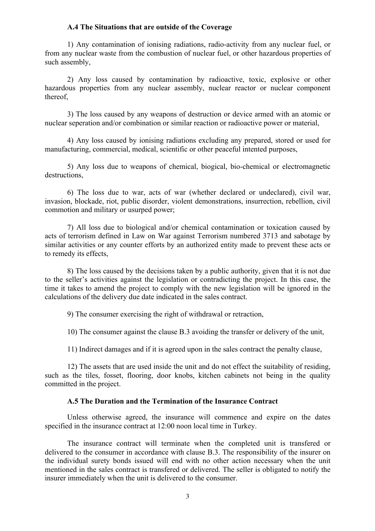#### **A.4 The Situations that are outside of the Coverage**

1) Any contamination of ionising radiations, radio-activity from any nuclear fuel, or from any nuclear waste from the combustion of nuclear fuel, or other hazardous properties of such assembly,

2) Any loss caused by contamination by radioactive, toxic, explosive or other hazardous properties from any nuclear assembly, nuclear reactor or nuclear component thereof,

3) The loss caused by any weapons of destruction or device armed with an atomic or nuclear seperation and/or combination or similar reaction or radioactive power or material,

4) Any loss caused by ionising radiations excluding any prepared, stored or used for manufacturing, commercial, medical, scientific or other peaceful intented purposes,

5) Any loss due to weapons of chemical, biogical, bio-chemical or electromagnetic destructions,

6) The loss due to war, acts of war (whether declared or undeclared), civil war, invasion, blockade, riot, public disorder, violent demonstrations, insurrection, rebellion, civil commotion and military or usurped power;

7) All loss due to biological and/or chemical contamination or toxication caused by acts of terrorism defined in Law on War against Terrorism numbered 3713 and sabotage by similar activities or any counter efforts by an authorized entity made to prevent these acts or to remedy its effects,

8) The loss caused by the decisions taken by a public authority, given that it is not due to the seller's activities against the legislation or contradicting the project. In this case, the time it takes to amend the project to comply with the new legislation will be ignored in the calculations of the delivery due date indicated in the sales contract.

9) The consumer exercising the right of withdrawal or retraction,

10) The consumer against the clause B.3 avoiding the transfer or delivery of the unit,

11) Indirect damages and if it is agreed upon in the sales contract the penalty clause,

12) The assets that are used inside the unit and do not effect the suitability of residing, such as the tiles, fosset, flooring, door knobs, kitchen cabinets not being in the quality committed in the project.

#### **A.5 The Duration and the Termination of the Insurance Contract**

Unless otherwise agreed, the insurance will commence and expire on the dates specified in the insurance contract at 12:00 noon local time in Turkey.

The insurance contract will terminate when the completed unit is transfered or delivered to the consumer in accordance with clause B.3. The responsibility of the insurer on the individual surety bonds issued will end with no other action necessary when the unit mentioned in the sales contract is transfered or delivered. The seller is obligated to notify the insurer immediately when the unit is delivered to the consumer.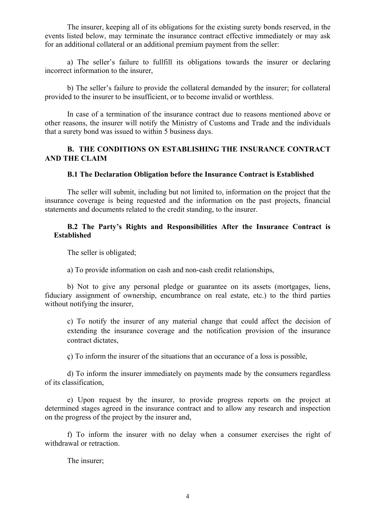The insurer, keeping all of its obligations for the existing surety bonds reserved, in the events listed below, may terminate the insurance contract effective immediately or may ask for an additional collateral or an additional premium payment from the seller:

a) The seller's failure to fullfill its obligations towards the insurer or declaring incorrect information to the insurer,

b) The seller's failure to provide the collateral demanded by the insurer; for collateral provided to the insurer to be insufficient, or to become invalid or worthless.

In case of a termination of the insurance contract due to reasons mentioned above or other reasons, the insurer will notify the Ministry of Customs and Trade and the individuals that a surety bond was issued to within 5 business days.

# **B. THE CONDITIONS ON ESTABLISHING THE INSURANCE CONTRACT AND THE CLAIM**

## **B.1 The Declaration Obligation before the Insurance Contract is Established**

The seller will submit, including but not limited to, information on the project that the insurance coverage is being requested and the information on the past projects, financial statements and documents related to the credit standing, to the insurer.

## **B.2 The Party's Rights and Responsibilities After the Insurance Contract is Established**

The seller is obligated;

a) To provide information on cash and non-cash credit relationships,

b) Not to give any personal pledge or guarantee on its assets (mortgages, liens, fiduciary assignment of ownership, encumbrance on real estate, etc.) to the third parties without notifying the insurer,

c) To notify the insurer of any material change that could affect the decision of extending the insurance coverage and the notification provision of the insurance contract dictates,

ç) To inform the insurer of the situations that an occurance of a loss is possible,

d) To inform the insurer immediately on payments made by the consumers regardless of its classification,

e) Upon request by the insurer, to provide progress reports on the project at determined stages agreed in the insurance contract and to allow any research and inspection on the progress of the project by the insurer and,

f) To inform the insurer with no delay when a consumer exercises the right of withdrawal or retraction.

The insurer;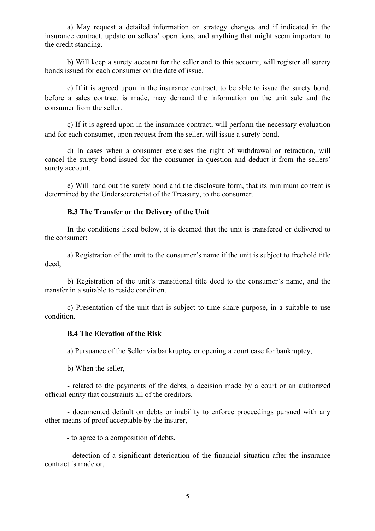a) May request a detailed information on strategy changes and if indicated in the insurance contract, update on sellers' operations, and anything that might seem important to the credit standing.

b) Will keep a surety account for the seller and to this account, will register all surety bonds issued for each consumer on the date of issue.

c) If it is agreed upon in the insurance contract, to be able to issue the surety bond, before a sales contract is made, may demand the information on the unit sale and the consumer from the seller.

ç) If it is agreed upon in the insurance contract, will perform the necessary evaluation and for each consumer, upon request from the seller, will issue a surety bond.

d) In cases when a consumer exercises the right of withdrawal or retraction, will cancel the surety bond issued for the consumer in question and deduct it from the sellers' surety account.

e) Will hand out the surety bond and the disclosure form, that its minimum content is determined by the Undersecreteriat of the Treasury, to the consumer.

## **B.3 The Transfer or the Delivery of the Unit**

In the conditions listed below, it is deemed that the unit is transfered or delivered to the consumer:

a) Registration of the unit to the consumer's name if the unit is subject to freehold title deed,

b) Registration of the unit's transitional title deed to the consumer's name, and the transfer in a suitable to reside condition.

c) Presentation of the unit that is subject to time share purpose, in a suitable to use condition.

### **B.4 The Elevation of the Risk**

a) Pursuance of the Seller via bankruptcy or opening a court case for bankruptcy,

b) When the seller,

- related to the payments of the debts, a decision made by a court or an authorized official entity that constraints all of the creditors.

- documented default on debts or inability to enforce proceedings pursued with any other means of proof acceptable by the insurer,

- to agree to a composition of debts,

- detection of a significant deterioation of the financial situation after the insurance contract is made or,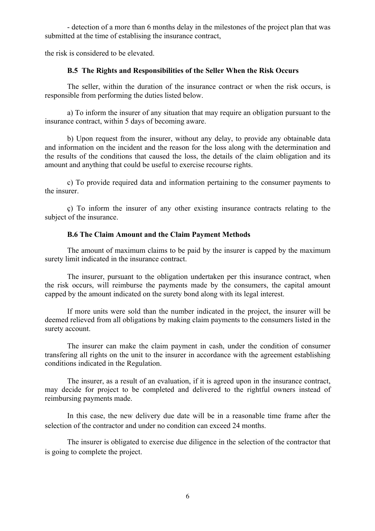- detection of a more than 6 months delay in the milestones of the project plan that was submitted at the time of establising the insurance contract,

the risk is considered to be elevated.

#### **B.5 The Rights and Responsibilities of the Seller When the Risk Occurs**

The seller, within the duration of the insurance contract or when the risk occurs, is responsible from performing the duties listed below.

a) To inform the insurer of any situation that may require an obligation pursuant to the insurance contract, within 5 days of becoming aware.

b) Upon request from the insurer, without any delay, to provide any obtainable data and information on the incident and the reason for the loss along with the determination and the results of the conditions that caused the loss, the details of the claim obligation and its amount and anything that could be useful to exercise recourse rights.

c) To provide required data and information pertaining to the consumer payments to the insurer.

ç) To inform the insurer of any other existing insurance contracts relating to the subject of the insurance.

### **B.6 The Claim Amount and the Claim Payment Methods**

The amount of maximum claims to be paid by the insurer is capped by the maximum surety limit indicated in the insurance contract.

The insurer, pursuant to the obligation undertaken per this insurance contract, when the risk occurs, will reimburse the payments made by the consumers, the capital amount capped by the amount indicated on the surety bond along with its legal interest.

If more units were sold than the number indicated in the project, the insurer will be deemed relieved from all obligations by making claim payments to the consumers listed in the surety account.

The insurer can make the claim payment in cash, under the condition of consumer transfering all rights on the unit to the insurer in accordance with the agreement establishing conditions indicated in the Regulation.

The insurer, as a result of an evaluation, if it is agreed upon in the insurance contract, may decide for project to be completed and delivered to the rightful owners instead of reimbursing payments made.

In this case, the new delivery due date will be in a reasonable time frame after the selection of the contractor and under no condition can exceed 24 months.

The insurer is obligated to exercise due diligence in the selection of the contractor that is going to complete the project.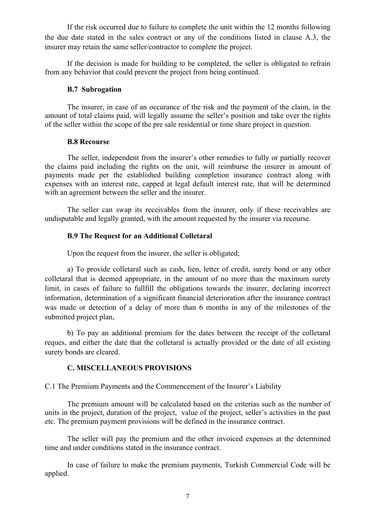If the risk occurred due to failure to complete the unit within the 12 months following the due date stated in the sales contract or any of the conditions listed in clause A.3, the insurer may retain the same seller/contractor to complete the project.

If the decision is made for building to be completed, the seller is obligated to refrain from any behavior that could prevent the project from being continued.

### **B.7 Subrogation**

The insurer, in case of an occurance of the risk and the payment of the claim, in the amount of total claims paid, will legally assume the seller's position and take over the rights of the seller within the scope of the pre sale residential or time share project in question.

### **B.8 Recourse**

The seller, independent from the insurer's other remedies to fully or partially recover the claims paid including the rights on the unit, will reimburse the insurer in amount of payments made per the established building completion insurance contract along with expenses with an interest rate, capped at legal default interest rate, that will be determined with an agreement between the seller and the insurer.

The seller can swap its receivables from the insurer, only if these receivables are undisputable and legally granted, with the amount requested by the insurer via recourse.

## **B.9 The Request for an Additional Colletaral**

Upon the request from the insurer, the seller is obligated;

a) To provide colletaral such as cash, lien, letter of credit, surety bond or any other colletaral that is deemed appropriate, in the amount of no more than the maximum surety limit, in cases of failure to fullfill the obligations towards the insurer, declaring incorrect information, determination of a significant financial deterioration after the insurance contract was made or detection of a delay of more than 6 months in any of the milestones of the submitted project plan,

b) To pay an additional premium for the dates between the receipt of the colletaral reques, and either the date that the colletaral is actually provided or the date of all existing surety bonds are cleared.

### **C. MISCELLANEOUS PROVISIONS**

C.1 The Premium Payments and the Commencement of the Insurer's Liability

The premium amount will be calculated based on the criterias such as the number of units in the project, duration of the project, value of the project, seller's activities in the past etc. The premium payment provisions will be defined in the insurance contract.

The seller will pay the premium and the other invoiced expenses at the determined time and under conditions stated in the insurance contract.

In case of failure to make the premium payments, Turkish Commercial Code will be applied.